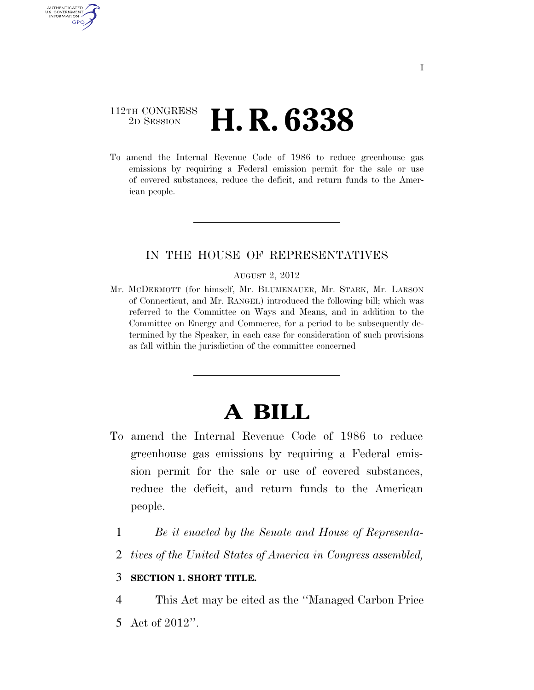## 112TH CONGRESS <sup>2D SESSION</sup> **H. R. 6338**

AUTHENTICATED U.S. GOVERNMENT GPO

> To amend the Internal Revenue Code of 1986 to reduce greenhouse gas emissions by requiring a Federal emission permit for the sale or use of covered substances, reduce the deficit, and return funds to the American people.

## IN THE HOUSE OF REPRESENTATIVES

#### AUGUST 2, 2012

Mr. MCDERMOTT (for himself, Mr. BLUMENAUER, Mr. STARK, Mr. LARSON of Connecticut, and Mr. RANGEL) introduced the following bill; which was referred to the Committee on Ways and Means, and in addition to the Committee on Energy and Commerce, for a period to be subsequently determined by the Speaker, in each case for consideration of such provisions as fall within the jurisdiction of the committee concerned

# **A BILL**

- To amend the Internal Revenue Code of 1986 to reduce greenhouse gas emissions by requiring a Federal emission permit for the sale or use of covered substances, reduce the deficit, and return funds to the American people.
	- 1 *Be it enacted by the Senate and House of Representa-*
	- 2 *tives of the United States of America in Congress assembled,*

### 3 **SECTION 1. SHORT TITLE.**

4 This Act may be cited as the ''Managed Carbon Price

5 Act of 2012''.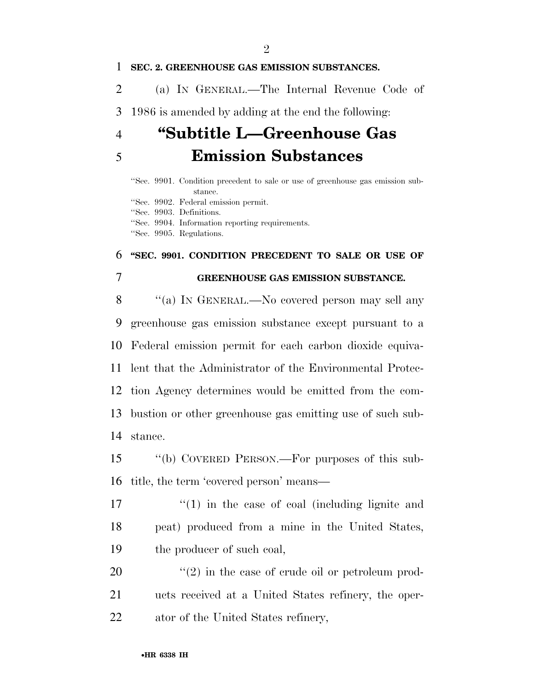### **SEC. 2. GREENHOUSE GAS EMISSION SUBSTANCES.**

(a) IN GENERAL.—The Internal Revenue Code of

1986 is amended by adding at the end the following:

# **''Subtitle L—Greenhouse Gas Emission Substances**

''Sec. 9901. Condition precedent to sale or use of greenhouse gas emission substance. ''Sec. 9902. Federal emission permit. ''Sec. 9903. Definitions. ''Sec. 9904. Information reporting requirements.

''Sec. 9905. Regulations.

## **''SEC. 9901. CONDITION PRECEDENT TO SALE OR USE OF**

## **GREENHOUSE GAS EMISSION SUBSTANCE.**

8 "(a) IN GENERAL.—No covered person may sell any greenhouse gas emission substance except pursuant to a Federal emission permit for each carbon dioxide equiva- lent that the Administrator of the Environmental Protec- tion Agency determines would be emitted from the com- bustion or other greenhouse gas emitting use of such sub-stance.

 ''(b) COVERED PERSON.—For purposes of this sub-title, the term 'covered person' means—

 $\binom{17}{1}$  in the case of coal (including lignite and peat) produced from a mine in the United States, the producer of such coal,

 ''(2) in the case of crude oil or petroleum prod- ucts received at a United States refinery, the oper-ator of the United States refinery,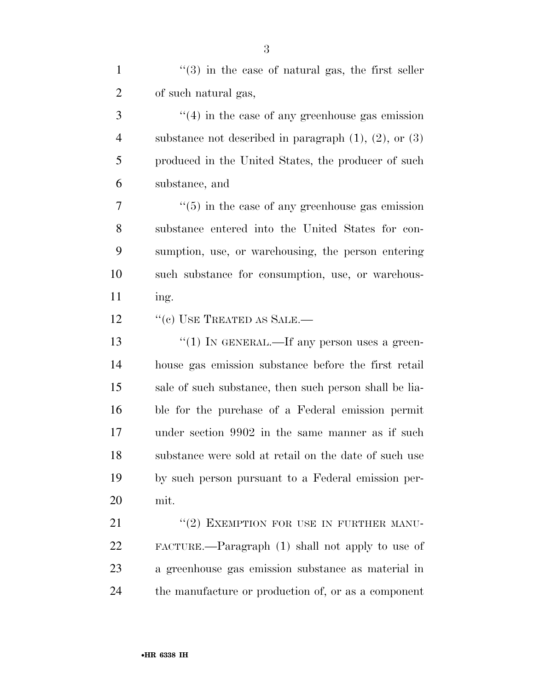| $\mathbf{1}$   | $\cdot\cdot(3)$ in the case of natural gas, the first seller    |
|----------------|-----------------------------------------------------------------|
| $\overline{2}$ | of such natural gas,                                            |
| 3              | $\cdot\cdot\cdot(4)$ in the case of any greenhouse gas emission |
| $\overline{4}$ | substance not described in paragraph $(1)$ , $(2)$ , or $(3)$   |
| 5              | produced in the United States, the producer of such             |
| 6              | substance, and                                                  |
| 7              | $\cdot\cdot\cdot(5)$ in the case of any greenhouse gas emission |
| 8              | substance entered into the United States for con-               |
| 9              | sumption, use, or warehousing, the person entering              |
| 10             | such substance for consumption, use, or warehous-               |
| 11             | ing.                                                            |
| 12             | $``$ (c) USE TREATED AS SALE.—                                  |
| 13             | "(1) IN GENERAL.—If any person uses a green-                    |
| 14             | house gas emission substance before the first retail            |
| 15             | sale of such substance, then such person shall be lia-          |
| 16             | ble for the purchase of a Federal emission permit               |
| 17             | under section 9902 in the same manner as if such                |
| 18             | substance were sold at retail on the date of such use           |
| 19             | by such person pursuant to a Federal emission per-              |
| 20             | mit.                                                            |
| 21             | "(2) EXEMPTION FOR USE IN FURTHER MANU-                         |
| 22             | FACTURE.—Paragraph (1) shall not apply to use of                |
| 23             | a greenhouse gas emission substance as material in              |
| 24             | the manufacture or production of, or as a component             |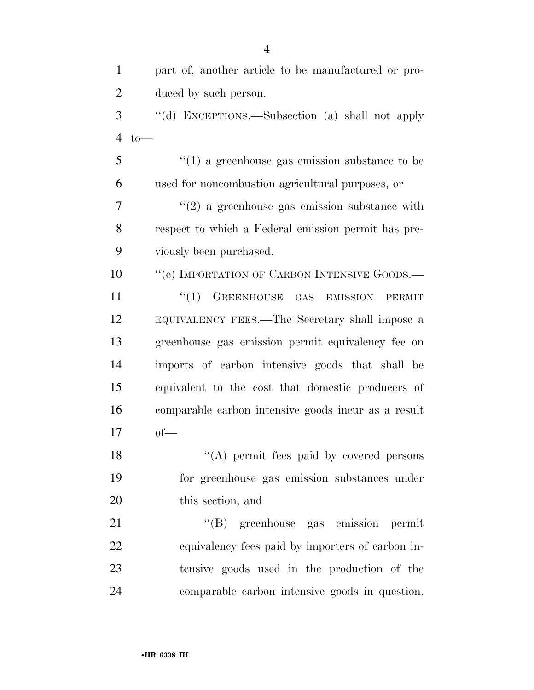| part of, another article to be manufactured or pro-       |
|-----------------------------------------------------------|
| duced by such person.                                     |
| "(d) EXCEPTIONS.—Subsection (a) shall not apply           |
| $to-$                                                     |
| $\cdot\cdot(1)$ a greenhouse gas emission substance to be |
| used for noncombustion agricultural purposes, or          |
| $\lq(2)$ a greenhouse gas emission substance with         |
| respect to which a Federal emission permit has pre-       |
| viously been purchased.                                   |
| "(e) IMPORTATION OF CARBON INTENSIVE GOODS.-              |
| $(1)$ GREENHOUSE GAS EMISSION<br><b>PERMIT</b>            |
| EQUIVALENCY FEES.—The Secretary shall impose a            |
| greenhouse gas emission permit equivalency fee on         |
| imports of carbon intensive goods that shall be           |
| equivalent to the cost that domestic producers of         |
| comparable carbon intensive goods incur as a result       |
| $of$ —                                                    |
| "(A) permit fees paid by covered persons                  |
| for greenhouse gas emission substances under              |
| this section, and                                         |
| "(B) greenhouse gas emission permit                       |
| equivalency fees paid by importers of carbon in-          |
| tensive goods used in the production of the               |
| comparable carbon intensive goods in question.            |
|                                                           |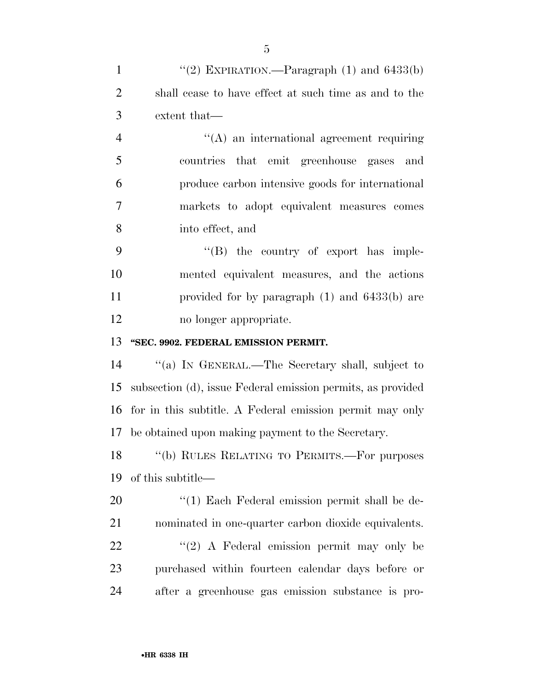| $\mathbf{1}$   | "(2) EXPIRATION.—Paragraph $(1)$ and $6433(b)$              |
|----------------|-------------------------------------------------------------|
| $\overline{2}$ | shall cease to have effect at such time as and to the       |
| 3              | extent that—                                                |
| $\overline{4}$ | $\lq\lq$ an international agreement requiring               |
| 5              | countries that emit greenhouse gases and                    |
| 6              | produce carbon intensive goods for international            |
| $\overline{7}$ | markets to adopt equivalent measures comes                  |
| 8              | into effect, and                                            |
| 9              | $\lq\lq (B)$ the country of export has imple-               |
| 10             | mented equivalent measures, and the actions                 |
| 11             | provided for by paragraph $(1)$ and $6433(b)$ are           |
| 12             | no longer appropriate.                                      |
| 13             | "SEC. 9902. FEDERAL EMISSION PERMIT.                        |
| 14             | "(a) IN GENERAL.—The Secretary shall, subject to            |
| 15             | subsection (d), issue Federal emission permits, as provided |
| 16             |                                                             |
|                | for in this subtitle. A Federal emission permit may only    |
|                | 17 be obtained upon making payment to the Secretary.        |
| 18             | "(b) RULES RELATING TO PERMITS.—For purposes                |
| 19             | of this subtitle—                                           |
| 20             | $\lq(1)$ Each Federal emission permit shall be de-          |
| 21             | nominated in one-quarter carbon dioxide equivalents.        |
| 22             | $\lq(2)$ A Federal emission permit may only be              |
| 23             | purchased within fourteen calendar days before or           |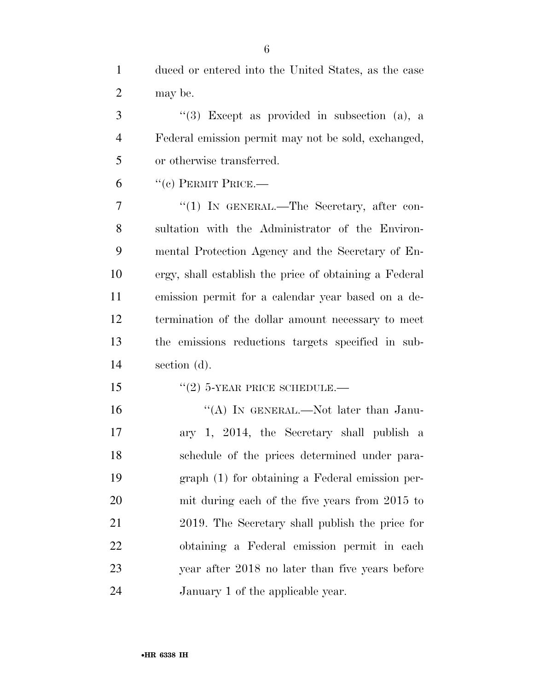duced or entered into the United States, as the case may be.

 ''(3) Except as provided in subsection (a), a Federal emission permit may not be sold, exchanged, or otherwise transferred.

"(c) PERMIT PRICE.—

7 "(1) IN GENERAL.—The Secretary, after con- sultation with the Administrator of the Environ- mental Protection Agency and the Secretary of En- ergy, shall establish the price of obtaining a Federal emission permit for a calendar year based on a de- termination of the dollar amount necessary to meet the emissions reductions targets specified in sub-section (d).

15  $"(2)$  5-YEAR PRICE SCHEDULE.—

16 "(A) IN GENERAL.—Not later than Janu- ary 1, 2014, the Secretary shall publish a schedule of the prices determined under para- graph (1) for obtaining a Federal emission per- mit during each of the five years from 2015 to 2019. The Secretary shall publish the price for obtaining a Federal emission permit in each year after 2018 no later than five years before January 1 of the applicable year.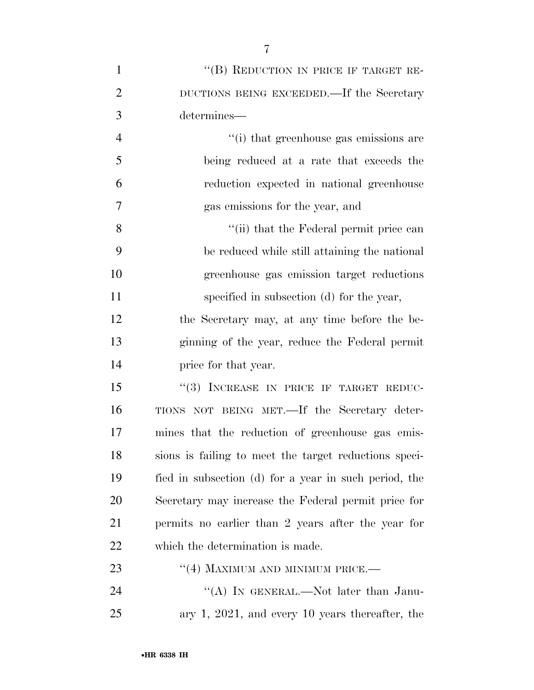| $\mathbf{1}$   | "(B) REDUCTION IN PRICE IF TARGET RE-                 |
|----------------|-------------------------------------------------------|
| $\overline{2}$ | DUCTIONS BEING EXCEEDED.—If the Secretary             |
| 3              | determines-                                           |
| $\overline{4}$ | "(i) that greenhouse gas emissions are                |
| 5              | being reduced at a rate that exceeds the              |
| 6              | reduction expected in national greenhouse             |
| 7              | gas emissions for the year, and                       |
| 8              | "(ii) that the Federal permit price can               |
| 9              | be reduced while still attaining the national         |
| 10             | greenhouse gas emission target reductions             |
| 11             | specified in subsection (d) for the year,             |
| 12             | the Secretary may, at any time before the be-         |
| 13             | ginning of the year, reduce the Federal permit        |
| 14             | price for that year.                                  |
| 15             | "(3) INCREASE IN PRICE IF TARGET REDUC-               |
| 16             | TIONS NOT BEING MET.—If the Secretary deter-          |
| 17             | mines that the reduction of greenhouse gas emis-      |
| 18             | sions is failing to meet the target reductions speci- |
| 19             | fied in subsection (d) for a year in such period, the |
| 20             | Secretary may increase the Federal permit price for   |
| 21             | permits no earlier than 2 years after the year for    |
| 22             | which the determination is made.                      |
| 23             | "(4) MAXIMUM AND MINIMUM PRICE.—                      |
| 24             | "(A) IN GENERAL.—Not later than Janu-                 |
| 25             | ary $1, 2021,$ and every $10$ years thereafter, the   |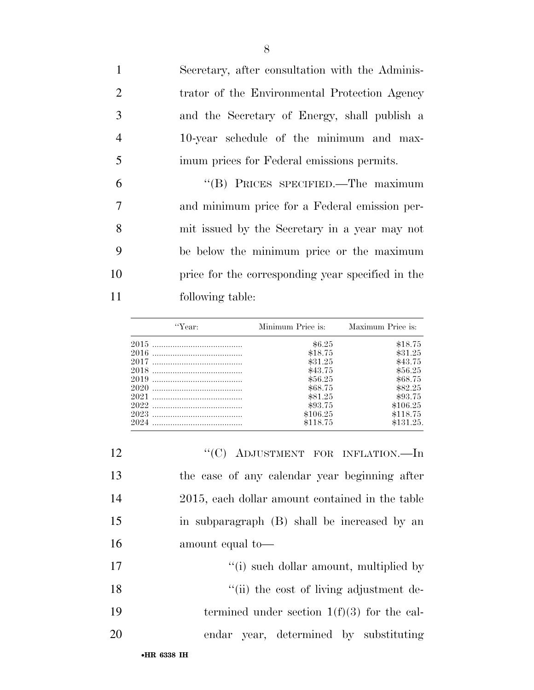Secretary, after consultation with the Adminis- trator of the Environmental Protection Agency and the Secretary of Energy, shall publish a 10-year schedule of the minimum and max- imum prices for Federal emissions permits. ''(B) PRICES SPECIFIED.—The maximum

 and minimum price for a Federal emission per- mit issued by the Secretary in a year may not be below the minimum price or the maximum price for the corresponding year specified in the following table:

| "Year: | Minimum Price is: | Maximum Price is: |
|--------|-------------------|-------------------|
|        | \$6.25            | \$18.75           |
|        | \$18.75           | \$31.25           |
|        | \$31.25           | \$43.75           |
|        | \$43.75           | \$56.25           |
|        | \$56.25           | \$68.75           |
|        | \$68.75           | \$82.25           |
|        | \$81.25           | \$93.75           |
|        | \$93.75           | \$106.25          |
|        | \$106.25          | \$118.75          |
| 2024   | \$118.75          | \$131.25          |

| 12          | "(C) ADJUSTMENT FOR INFLATION.—In               |
|-------------|-------------------------------------------------|
| 13          | the case of any calendar year beginning after   |
| 14          | 2015, each dollar amount contained in the table |
| 15          | in subparagraph (B) shall be increased by an    |
| 16          | amount equal to-                                |
| 17          | "(i) such dollar amount, multiplied by          |
| 18          | "(ii) the cost of living adjustment de-         |
| 19          | termined under section $1(f)(3)$ for the cal-   |
| 20          | endar year, determined by substituting          |
| •HR 6338 IH |                                                 |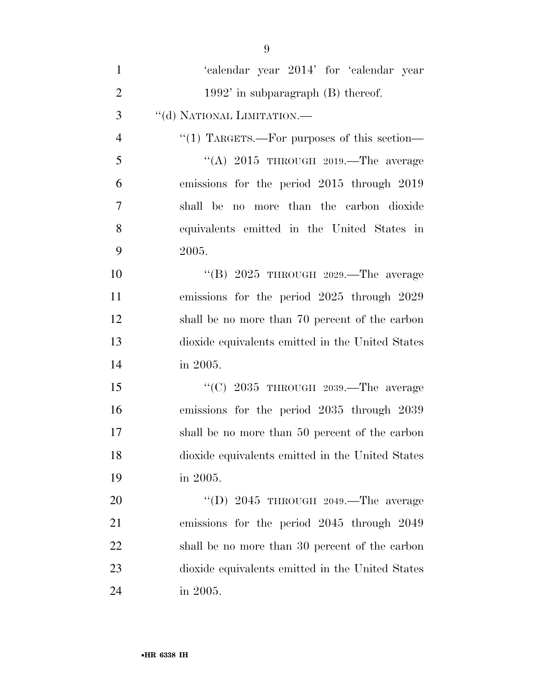| $\mathbf{1}$   | 'calendar year 2014' for 'calendar year          |
|----------------|--------------------------------------------------|
| $\overline{2}$ | $1992'$ in subparagraph $(B)$ thereof.           |
| 3              | "(d) NATIONAL LIMITATION.-                       |
| $\overline{4}$ | "(1) TARGETS.—For purposes of this section—      |
| 5              | "(A) $2015$ THROUGH $2019$ . The average         |
| 6              | emissions for the period 2015 through 2019       |
| 7              | no more than the carbon dioxide<br>shall be      |
| 8              | equivalents emitted in the United States in      |
| 9              | 2005.                                            |
| 10             | "(B) $2025$ THROUGH $2029$ . The average         |
| 11             | emissions for the period 2025 through 2029       |
| 12             | shall be no more than 70 percent of the carbon   |
| 13             | dioxide equivalents emitted in the United States |
| 14             | in 2005.                                         |
| 15             | "(C) $2035$ THROUGH $2039$ . The average         |
| 16             | emissions for the period 2035 through 2039       |
| 17             | shall be no more than 50 percent of the carbon   |
| 18             | dioxide equivalents emitted in the United States |
| 19             | in 2005.                                         |
| 20             | "(D) $2045$ THROUGH $2049$ . The average         |
| 21             | emissions for the period 2045 through 2049       |
| 22             | shall be no more than 30 percent of the carbon   |
| 23             | dioxide equivalents emitted in the United States |
| 24             | in 2005.                                         |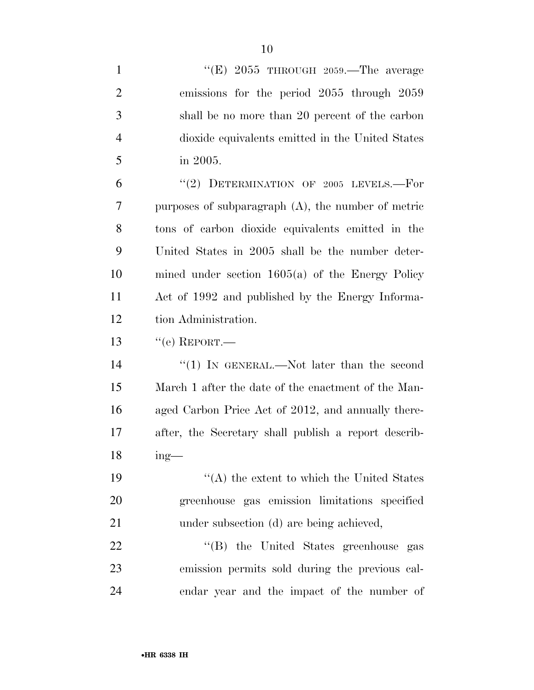| $\mathbf{1}$   | "(E) $2055$ THROUGH $2059$ . The average              |
|----------------|-------------------------------------------------------|
| $\overline{2}$ | emissions for the period 2055 through 2059            |
| 3              | shall be no more than 20 percent of the carbon        |
| 4              | dioxide equivalents emitted in the United States      |
| 5              | in 2005.                                              |
| 6              | "(2) DETERMINATION OF 2005 LEVELS.--For               |
| 7              | purposes of subparagraph $(A)$ , the number of metric |
| 8              | tons of carbon dioxide equivalents emitted in the     |
| 9              | United States in 2005 shall be the number deter-      |
| 10             | mined under section $1605(a)$ of the Energy Policy    |
| 11             | Act of 1992 and published by the Energy Informa-      |
| 12             | tion Administration.                                  |
| 13             | $``$ (e) REPORT.—                                     |
| 14             | "(1) IN GENERAL.—Not later than the second            |
| 15             | March 1 after the date of the enactment of the Man-   |
| 16             | aged Carbon Price Act of 2012, and annually there-    |
| 17             | after, the Secretary shall publish a report describ-  |
| 18             | $ing-$                                                |
| 19             | $\lq\lq (A)$ the extent to which the United States    |
| 20             | greenhouse gas emission limitations specified         |
| 21             | under subsection (d) are being achieved,              |
| 22             | "(B) the United States greenhouse gas                 |
| 23             | emission permits sold during the previous cal-        |
| 24             | endar year and the impact of the number of            |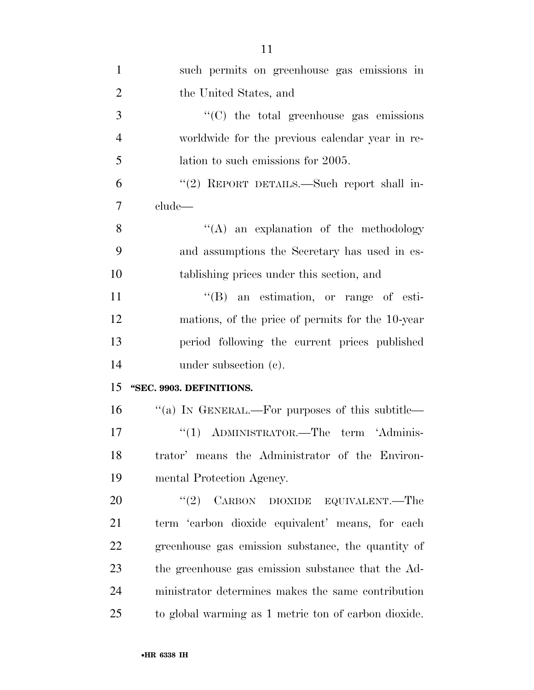| $\mathbf{1}$   | such permits on greenhouse gas emissions in        |
|----------------|----------------------------------------------------|
| $\overline{2}$ | the United States, and                             |
| 3              | "(C) the total greenhouse gas emissions            |
| $\overline{4}$ | worldwide for the previous calendar year in re-    |
| 5              | lation to such emissions for 2005.                 |
| 6              | "(2) REPORT DETAILS.—Such report shall in-         |
| 7              | clude—                                             |
| 8              | $\lq\lq$ an explanation of the methodology         |
| 9              | and assumptions the Secretary has used in es-      |
| 10             | tablishing prices under this section, and          |
| 11             | $\lq\lq (B)$ an estimation, or range of esti-      |
| 12             | mations, of the price of permits for the 10-year   |
| 13             | period following the current prices published      |
| 14             | under subsection $(e)$ .                           |
| 15             | "SEC. 9903. DEFINITIONS.                           |
| 16             | "(a) IN GENERAL.—For purposes of this subtitle—    |
| 17             | "(1) ADMINISTRATOR.—The term 'Adminis-             |
| 18             | trator' means the Administrator of the Environ-    |
| 19             | mental Protection Agency.                          |
| 20             | "(2) CARBON DIOXIDE EQUIVALENT.—The                |
| 21             | term 'carbon dioxide equivalent' means, for each   |
| 22             | greenhouse gas emission substance, the quantity of |
| 23             | the greenhouse gas emission substance that the Ad- |
| 24             | ministrator determines makes the same contribution |
| 25             |                                                    |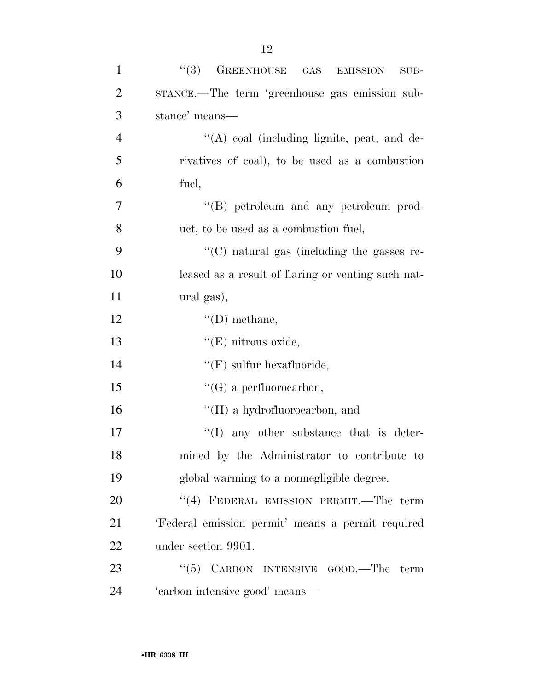| $\mathbf{1}$   | ``(3)<br>GREENHOUSE GAS<br><b>EMISSION</b><br>$SUB-$ |
|----------------|------------------------------------------------------|
| $\overline{2}$ | STANCE.—The term 'greenhouse gas emission sub-       |
| 3              | stance' means-                                       |
| $\overline{4}$ | $\lq\lq$ coal (including lignite, peat, and de-      |
| 5              | rivatives of coal), to be used as a combustion       |
| 6              | fuel,                                                |
| 7              | "(B) petroleum and any petroleum prod-               |
| 8              | uct, to be used as a combustion fuel,                |
| 9              | $\lq\lq$ (C) natural gas (including the gasses re-   |
| 10             | leased as a result of flaring or venting such nat-   |
| 11             | ural gas),                                           |
| 12             | $\lq\lq$ (D) methane,                                |
| 13             | " $(E)$ nitrous oxide,                               |
| 14             | $\lq\lq(F)$ sulfur hexafluoride,                     |
| 15             | $\lq\lq (G)$ a perfluorocarbon,                      |
| 16             | $\lq\lq (H)$ a hydrofluorocarbon, and                |
| 17             | $\lq\lq$ any other substance that is deter-          |
| 18             | mined by the Administrator to contribute to          |
| 19             | global warming to a nonnegligible degree.            |
| 20             | "(4) FEDERAL EMISSION PERMIT.—The term               |
| 21             | 'Federal emission permit' means a permit required    |
| 22             | under section 9901.                                  |
| 23             | " $(5)$ CARBON INTENSIVE GOOD.—The term              |
| 24             | 'carbon intensive good' means—                       |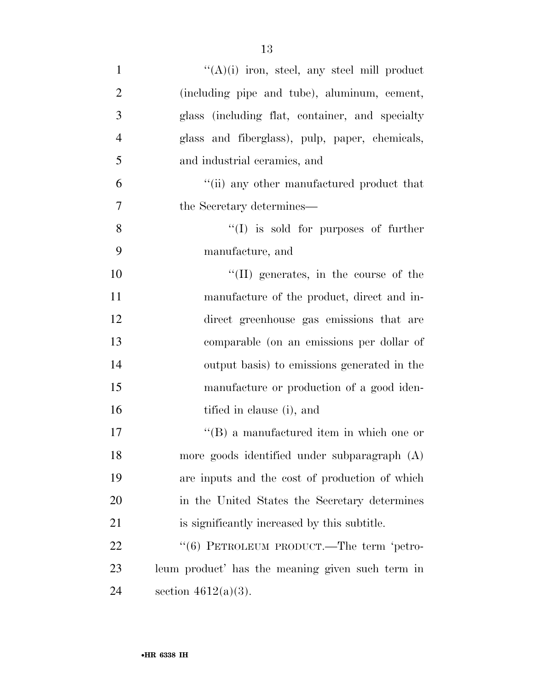| $\mathbf{1}$   | $((A)(i)$ iron, steel, any steel mill product    |
|----------------|--------------------------------------------------|
| $\overline{2}$ | (including pipe and tube), aluminum, cement,     |
| 3              | glass (including flat, container, and specialty  |
| $\overline{4}$ | glass and fiberglass), pulp, paper, chemicals,   |
| 5              | and industrial ceramics, and                     |
| 6              | "(ii) any other manufactured product that        |
| 7              | the Secretary determines—                        |
| 8              | $\lq\lq$ is sold for purposes of further         |
| 9              | manufacture, and                                 |
| 10             | $\lq\lq$ (II) generates, in the course of the    |
| 11             | manufacture of the product, direct and in-       |
| 12             | direct greenhouse gas emissions that are         |
| 13             | comparable (on an emissions per dollar of        |
| 14             | output basis) to emissions generated in the      |
| 15             | manufacture or production of a good iden-        |
| 16             | tified in clause (i), and                        |
| 17             | $\lq\lq (B)$ a manufactured item in which one or |
| 18             | more goods identified under subparagraph (A)     |
| 19             | are inputs and the cost of production of which   |
| 20             | in the United States the Secretary determines    |
| 21             | is significantly increased by this subtitle.     |
| 22             | "(6) PETROLEUM PRODUCT.—The term 'petro-         |
| 23             | leum product' has the meaning given such term in |
| 24             | section $4612(a)(3)$ .                           |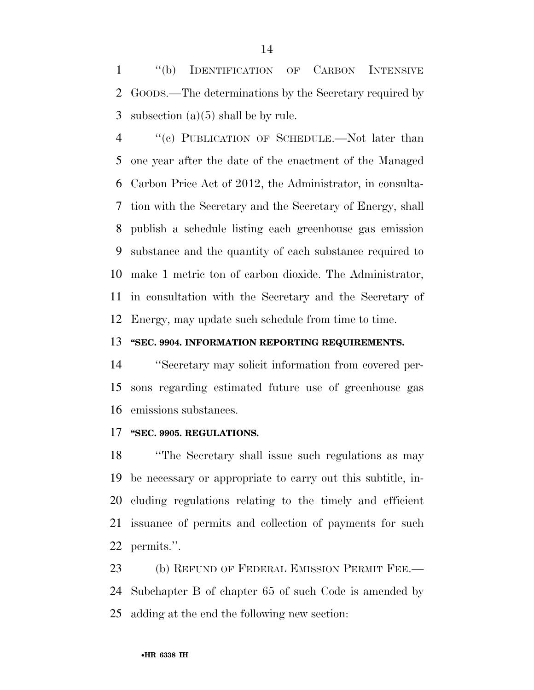''(b) IDENTIFICATION OF CARBON INTENSIVE GOODS.—The determinations by the Secretary required by 3 subsection  $(a)(5)$  shall be by rule.

 ''(c) PUBLICATION OF SCHEDULE.—Not later than one year after the date of the enactment of the Managed Carbon Price Act of 2012, the Administrator, in consulta- tion with the Secretary and the Secretary of Energy, shall publish a schedule listing each greenhouse gas emission substance and the quantity of each substance required to make 1 metric ton of carbon dioxide. The Administrator, in consultation with the Secretary and the Secretary of Energy, may update such schedule from time to time.

## **''SEC. 9904. INFORMATION REPORTING REQUIREMENTS.**

 ''Secretary may solicit information from covered per- sons regarding estimated future use of greenhouse gas emissions substances.

## **''SEC. 9905. REGULATIONS.**

 ''The Secretary shall issue such regulations as may be necessary or appropriate to carry out this subtitle, in- cluding regulations relating to the timely and efficient issuance of permits and collection of payments for such permits.''.

23 (b) REFUND OF FEDERAL EMISSION PERMIT FEE.— Subchapter B of chapter 65 of such Code is amended by adding at the end the following new section: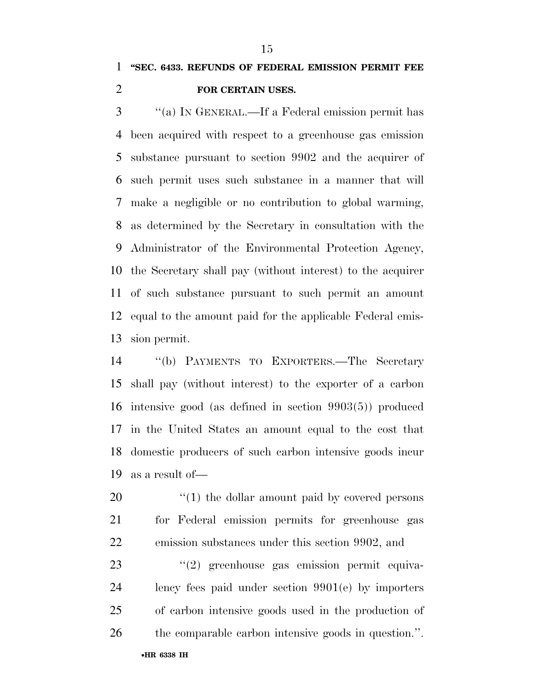## **''SEC. 6433. REFUNDS OF FEDERAL EMISSION PERMIT FEE FOR CERTAIN USES.**

 ''(a) IN GENERAL.—If a Federal emission permit has been acquired with respect to a greenhouse gas emission substance pursuant to section 9902 and the acquirer of such permit uses such substance in a manner that will make a negligible or no contribution to global warming, as determined by the Secretary in consultation with the Administrator of the Environmental Protection Agency, the Secretary shall pay (without interest) to the acquirer of such substance pursuant to such permit an amount equal to the amount paid for the applicable Federal emis-sion permit.

 ''(b) PAYMENTS TO EXPORTERS.—The Secretary shall pay (without interest) to the exporter of a carbon intensive good (as defined in section 9903(5)) produced in the United States an amount equal to the cost that domestic producers of such carbon intensive goods incur as a result of—

20  $\frac{1}{20}$  (1) the dollar amount paid by covered persons for Federal emission permits for greenhouse gas emission substances under this section 9902, and

23 ''(2) greenhouse gas emission permit equiva- lency fees paid under section 9901(e) by importers of carbon intensive goods used in the production of the comparable carbon intensive goods in question.''.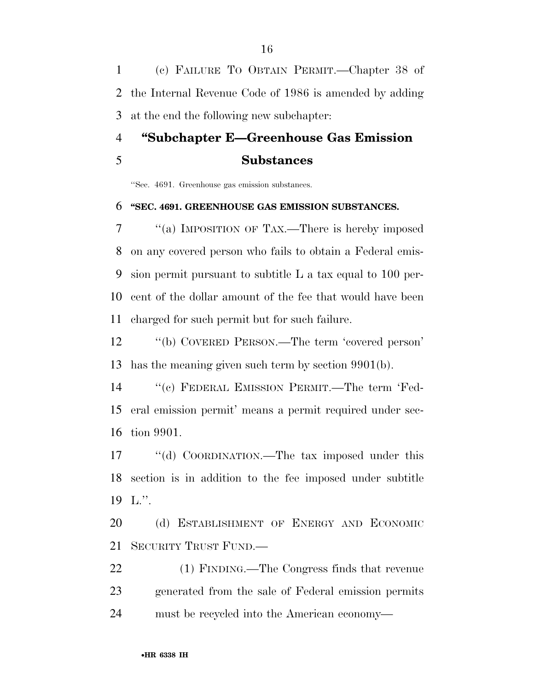(c) FAILURE TO OBTAIN PERMIT.—Chapter 38 of the Internal Revenue Code of 1986 is amended by adding at the end the following new subchapter:

# **''Subchapter E—Greenhouse Gas Emission Substances**

''Sec. 4691. Greenhouse gas emission substances.

#### **''SEC. 4691. GREENHOUSE GAS EMISSION SUBSTANCES.**

 ''(a) IMPOSITION OF TAX.—There is hereby imposed on any covered person who fails to obtain a Federal emis- sion permit pursuant to subtitle L a tax equal to 100 per- cent of the dollar amount of the fee that would have been charged for such permit but for such failure.

 ''(b) COVERED PERSON.—The term 'covered person' has the meaning given such term by section 9901(b).

 ''(c) FEDERAL EMISSION PERMIT.—The term 'Fed- eral emission permit' means a permit required under sec-tion 9901.

17 ""(d) COORDINATION.—The tax imposed under this section is in addition to the fee imposed under subtitle L.''.

20 (d) ESTABLISHMENT OF ENERGY AND ECONOMIC SECURITY TRUST FUND.—

 (1) FINDING.—The Congress finds that revenue generated from the sale of Federal emission permits must be recycled into the American economy—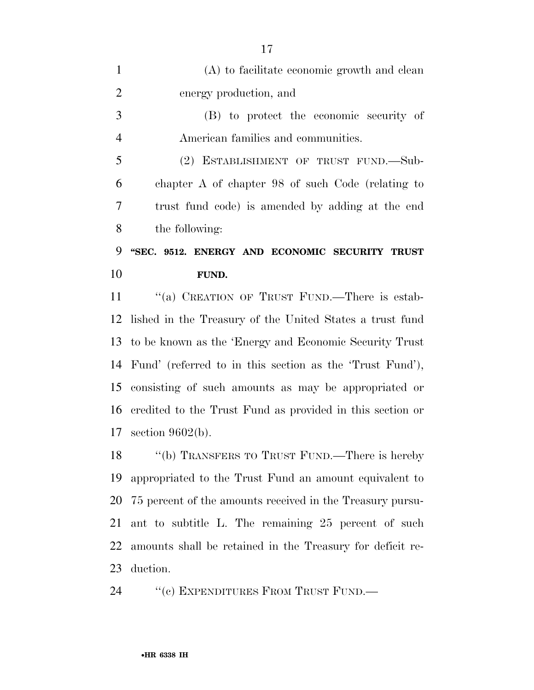| $\mathbf{1}$   | (A) to facilitate economic growth and clean                 |
|----------------|-------------------------------------------------------------|
| $\overline{2}$ | energy production, and                                      |
| 3              | (B) to protect the economic security of                     |
| $\overline{4}$ | American families and communities.                          |
| 5              | (2) ESTABLISHMENT OF TRUST FUND.—Sub-                       |
| 6              | chapter A of chapter 98 of such Code (relating to           |
| 7              | trust fund code) is amended by adding at the end            |
| 8              | the following:                                              |
|                |                                                             |
| 9              | "SEC. 9512. ENERGY AND ECONOMIC SECURITY TRUST              |
|                | FUND.                                                       |
| 10<br>11       | "(a) CREATION OF TRUST FUND.—There is estab-                |
|                | lished in the Treasury of the United States a trust fund    |
| 12<br>13       | to be known as the 'Energy and Economic Security Trust      |
|                | 14 Fund' (referred to in this section as the 'Trust Fund'), |
| 15             | consisting of such amounts as may be appropriated or        |
| 16             | credited to the Trust Fund as provided in this section or   |

18 "(b) TRANSFERS TO TRUST FUND.—There is hereby appropriated to the Trust Fund an amount equivalent to 75 percent of the amounts received in the Treasury pursu- ant to subtitle L. The remaining 25 percent of such amounts shall be retained in the Treasury for deficit re-duction.

24 "(c) EXPENDITURES FROM TRUST FUND.—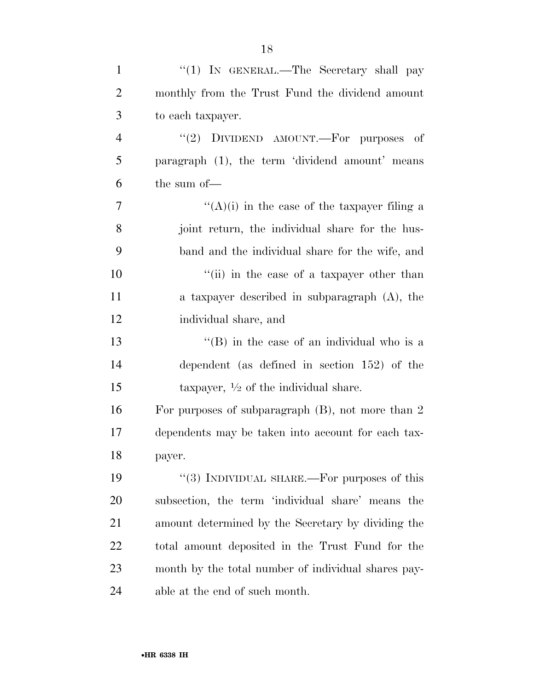| $\mathbf{1}$   | "(1) IN GENERAL.—The Secretary shall pay             |
|----------------|------------------------------------------------------|
| $\overline{2}$ | monthly from the Trust Fund the dividend amount      |
| 3              | to each taxpayer.                                    |
| $\overline{4}$ | "(2) DIVIDEND AMOUNT.—For purposes of                |
| 5              | paragraph (1), the term 'dividend amount' means      |
| 6              | the sum of-                                          |
| 7              | " $(A)(i)$ in the case of the taxpayer filing a      |
| 8              | joint return, the individual share for the hus-      |
| 9              | band and the individual share for the wife, and      |
| 10             | "(ii) in the case of a taxpayer other than           |
| 11             | a taxpayer described in subparagraph (A), the        |
| 12             | individual share, and                                |
| 13             | $\lq\lq$ (B) in the case of an individual who is a   |
| 14             | dependent (as defined in section $152$ ) of the      |
| 15             | taxpayer, $\frac{1}{2}$ of the individual share.     |
| 16             | For purposes of subparagraph $(B)$ , not more than 2 |
| 17             | dependents may be taken into account for each tax-   |
| 18             | payer.                                               |
| 19             | "(3) INDIVIDUAL SHARE.—For purposes of this          |
| 20             | subsection, the term 'individual share' means the    |
| 21             | amount determined by the Secretary by dividing the   |
| 22             | total amount deposited in the Trust Fund for the     |
| 23             | month by the total number of individual shares pay-  |
| 24             | able at the end of such month.                       |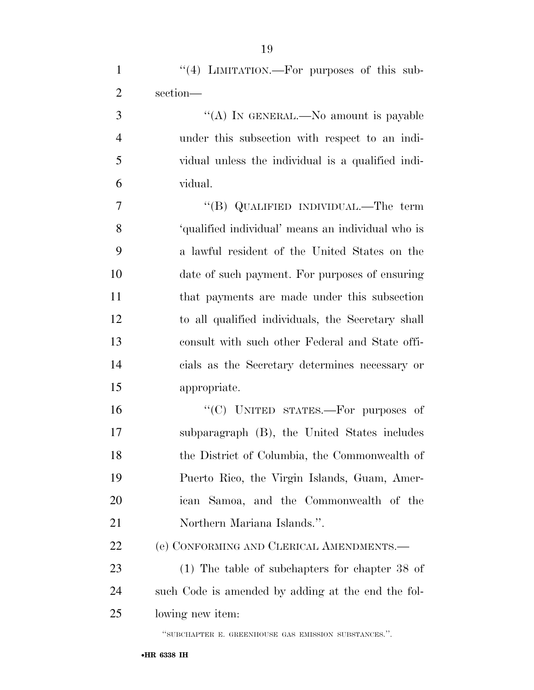1 "(4) LIMITATION.—For purposes of this sub-

| $\overline{2}$ | section-                                             |
|----------------|------------------------------------------------------|
| 3              | "(A) IN GENERAL.—No amount is payable                |
| $\overline{4}$ | under this subsection with respect to an indi-       |
| 5              | vidual unless the individual is a qualified indi-    |
| 6              | vidual.                                              |
| 7              | "(B) QUALIFIED INDIVIDUAL.—The term                  |
| 8              | 'qualified individual' means an individual who is    |
| 9              | a lawful resident of the United States on the        |
| 10             | date of such payment. For purposes of ensuring       |
| 11             | that payments are made under this subsection         |
| 12             | to all qualified individuals, the Secretary shall    |
| 13             | consult with such other Federal and State offi-      |
| 14             | cials as the Secretary determines necessary or       |
| 15             | appropriate.                                         |
| 16             | "(C) UNITED STATES.—For purposes of                  |
| 17             | subparagraph (B), the United States includes         |
| 18             | the District of Columbia, the Commonwealth of        |
| 19             | Puerto Rico, the Virgin Islands, Guam, Amer-         |
| 20             | ican Samoa, and the Commonwealth of the              |
| 21             | Northern Mariana Islands.".                          |
| 22             | (e) CONFORMING AND CLERICAL AMENDMENTS.—             |
| 23             | $(1)$ The table of subchapters for chapter 38 of     |
| 24             | such Code is amended by adding at the end the fol-   |
| 25             | lowing new item:                                     |
|                | "SUBCHAPTER E. GREENHOUSE GAS EMISSION SUBSTANCES.". |

#### •**HR 6338 IH**